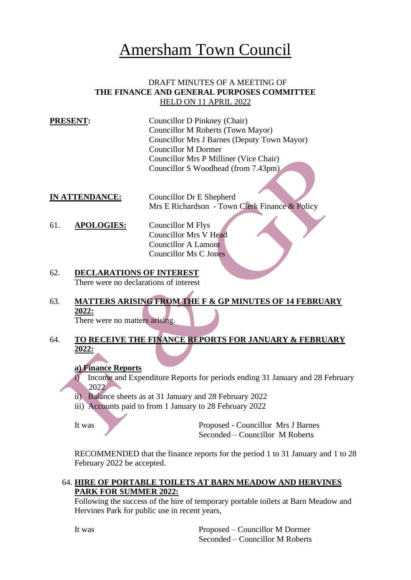# Amersham Town Council

#### DRAFT MINUTES OF A MEETING OF **THE FINANCE AND GENERAL PURPOSES COMMITTEE** HELD ON 11 APRIL 2022

- **PRESENT:** Councillor D Pinkney (Chair) Councillor M Roberts (Town Mayor) Councillor Mrs J Barnes (Deputy Town Mayor) Councillor M Dormer Councillor Mrs P Milliner (Vice Chair) Councillor S Woodhead (from 7.43pm)
- **IN ATTENDANCE:** Councillor Dr E Shepherd Mrs E Richardson - Town Clerk Finance & Policy

61. **APOLOGIES:** Councillor M Flys Councillor Mrs V Head Councillor A Lamont Councillor Ms C Jones

- 62. **DECLARATIONS OF INTEREST** There were no declarations of interest
- 63. **MATTERS ARISING FROM THE F & GP MINUTES OF 14 FEBRUARY 2022:** There were no matters arising.
- 64. **TO RECEIVE THE FINANCE REPORTS FOR JANUARY & FEBRUARY 2022:**

#### **a) Finance Reports**

- i) Income and Expenditure Reports for periods ending 31 January and 28 February 2022
- ii) Balance sheets as at 31 January and 28 February 2022
- iii) Accounts paid to from 1 January to 28 February 2022

It was Proposed - Councillor Mrs J Barnes Seconded – Councillor M Roberts

RECOMMENDED that the finance reports for the period 1 to 31 January and 1 to 28 February 2022 be accepted.

#### 64. **HIRE OF PORTABLE TOILETS AT BARN MEADOW AND HERVINES PARK FOR SUMMER 2022:**

Following the success of the hire of temporary portable toilets at Barn Meadow and Hervines Park for public use in recent years,

It was Proposed – Councillor M Dormer Seconded – Councillor M Roberts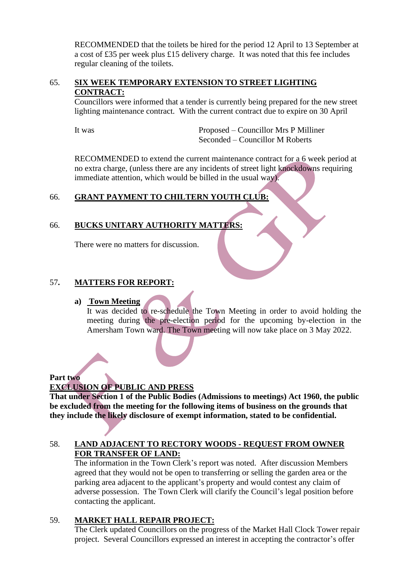RECOMMENDED that the toilets be hired for the period 12 April to 13 September at a cost of £35 per week plus £15 delivery charge. It was noted that this fee includes regular cleaning of the toilets.

## 65. **SIX WEEK TEMPORARY EXTENSION TO STREET LIGHTING CONTRACT:**

Councillors were informed that a tender is currently being prepared for the new street lighting maintenance contract. With the current contract due to expire on 30 April

It was Proposed – Councillor Mrs P Milliner Seconded – Councillor M Roberts

RECOMMENDED to extend the current maintenance contract for a 6 week period at no extra charge, (unless there are any incidents of street light knockdowns requiring immediate attention, which would be billed in the usual way).

## 66. **GRANT PAYMENT TO CHILTERN YOUTH CLUB:**

## 66. **BUCKS UNITARY AUTHORITY MATTERS:**

There were no matters for discussion.

## 57**. MATTERS FOR REPORT:**

#### **a) Town Meeting**

It was decided to re-schedule the Town Meeting in order to avoid holding the meeting during the pre-election period for the upcoming by-election in the Amersham Town ward. The Town meeting will now take place on 3 May 2022.

#### **Part two**

## **EXCLUSION OF PUBLIC AND PRESS**

**That under Section 1 of the Public Bodies (Admissions to meetings) Act 1960, the public be excluded from the meeting for the following items of business on the grounds that they include the likely disclosure of exempt information, stated to be confidential.**

#### 58. **LAND ADJACENT TO RECTORY WOODS - REQUEST FROM OWNER FOR TRANSFER OF LAND:**

The information in the Town Clerk's report was noted. After discussion Members agreed that they would not be open to transferring or selling the garden area or the parking area adjacent to the applicant's property and would contest any claim of adverse possession. The Town Clerk will clarify the Council's legal position before contacting the applicant.

#### 59. **MARKET HALL REPAIR PROJECT:**

The Clerk updated Councillors on the progress of the Market Hall Clock Tower repair project. Several Councillors expressed an interest in accepting the contractor's offer